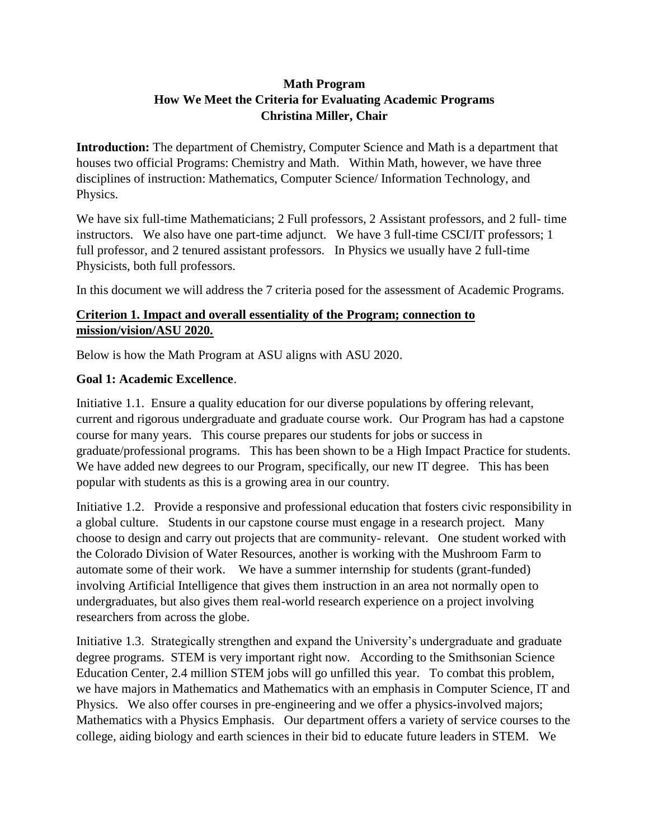# **Math Program How We Meet the Criteria for Evaluating Academic Programs Christina Miller, Chair**

**Introduction:** The department of Chemistry, Computer Science and Math is a department that houses two official Programs: Chemistry and Math. Within Math, however, we have three disciplines of instruction: Mathematics, Computer Science/ Information Technology, and Physics.

We have six full-time Mathematicians; 2 Full professors, 2 Assistant professors, and 2 full- time instructors. We also have one part-time adjunct. We have 3 full-time CSCI/IT professors; 1 full professor, and 2 tenured assistant professors. In Physics we usually have 2 full-time Physicists, both full professors.

In this document we will address the 7 criteria posed for the assessment of Academic Programs.

# **Criterion 1. Impact and overall essentiality of the Program; connection to mission/vision/ASU 2020.**

Below is how the Math Program at ASU aligns with ASU 2020.

# **Goal 1: Academic Excellence**.

Initiative 1.1. Ensure a quality education for our diverse populations by offering relevant, current and rigorous undergraduate and graduate course work. Our Program has had a capstone course for many years. This course prepares our students for jobs or success in graduate/professional programs. This has been shown to be a High Impact Practice for students. We have added new degrees to our Program, specifically, our new IT degree. This has been popular with students as this is a growing area in our country.

Initiative 1.2. Provide a responsive and professional education that fosters civic responsibility in a global culture. Students in our capstone course must engage in a research project. Many choose to design and carry out projects that are community- relevant. One student worked with the Colorado Division of Water Resources, another is working with the Mushroom Farm to automate some of their work. We have a summer internship for students (grant-funded) involving Artificial Intelligence that gives them instruction in an area not normally open to undergraduates, but also gives them real-world research experience on a project involving researchers from across the globe.

Initiative 1.3. Strategically strengthen and expand the University's undergraduate and graduate degree programs. STEM is very important right now. According to the Smithsonian Science Education Center, 2.4 million STEM jobs will go unfilled this year. To combat this problem, we have majors in Mathematics and Mathematics with an emphasis in Computer Science, IT and Physics. We also offer courses in pre-engineering and we offer a physics-involved majors; Mathematics with a Physics Emphasis. Our department offers a variety of service courses to the college, aiding biology and earth sciences in their bid to educate future leaders in STEM. We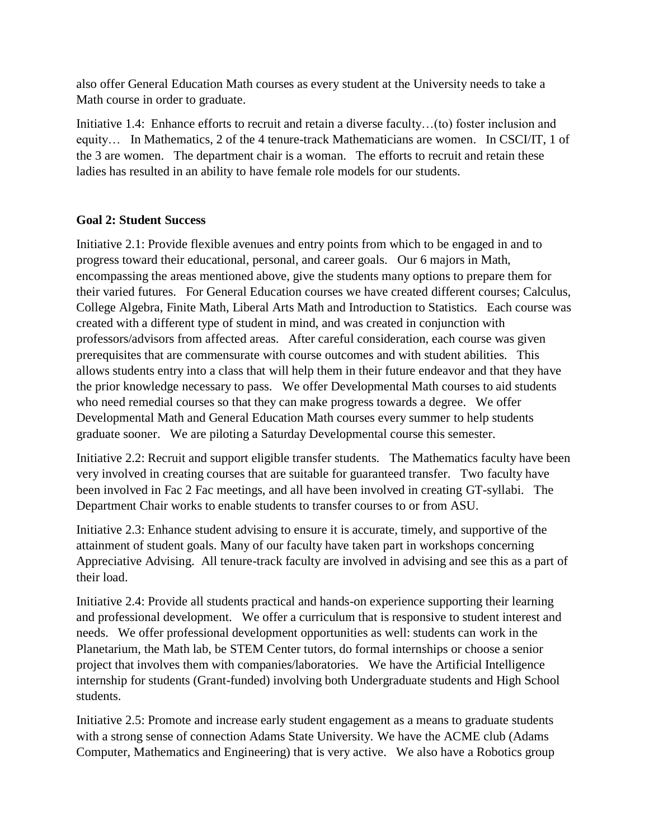also offer General Education Math courses as every student at the University needs to take a Math course in order to graduate.

Initiative 1.4: Enhance efforts to recruit and retain a diverse faculty…(to) foster inclusion and equity… In Mathematics, 2 of the 4 tenure-track Mathematicians are women. In CSCI/IT, 1 of the 3 are women. The department chair is a woman. The efforts to recruit and retain these ladies has resulted in an ability to have female role models for our students.

### **Goal 2: Student Success**

Initiative 2.1: Provide flexible avenues and entry points from which to be engaged in and to progress toward their educational, personal, and career goals. Our 6 majors in Math, encompassing the areas mentioned above, give the students many options to prepare them for their varied futures. For General Education courses we have created different courses; Calculus, College Algebra, Finite Math, Liberal Arts Math and Introduction to Statistics. Each course was created with a different type of student in mind, and was created in conjunction with professors/advisors from affected areas. After careful consideration, each course was given prerequisites that are commensurate with course outcomes and with student abilities. This allows students entry into a class that will help them in their future endeavor and that they have the prior knowledge necessary to pass. We offer Developmental Math courses to aid students who need remedial courses so that they can make progress towards a degree. We offer Developmental Math and General Education Math courses every summer to help students graduate sooner. We are piloting a Saturday Developmental course this semester.

Initiative 2.2: Recruit and support eligible transfer students. The Mathematics faculty have been very involved in creating courses that are suitable for guaranteed transfer. Two faculty have been involved in Fac 2 Fac meetings, and all have been involved in creating GT-syllabi. The Department Chair works to enable students to transfer courses to or from ASU.

Initiative 2.3: Enhance student advising to ensure it is accurate, timely, and supportive of the attainment of student goals. Many of our faculty have taken part in workshops concerning Appreciative Advising. All tenure-track faculty are involved in advising and see this as a part of their load.

Initiative 2.4: Provide all students practical and hands-on experience supporting their learning and professional development. We offer a curriculum that is responsive to student interest and needs. We offer professional development opportunities as well: students can work in the Planetarium, the Math lab, be STEM Center tutors, do formal internships or choose a senior project that involves them with companies/laboratories. We have the Artificial Intelligence internship for students (Grant-funded) involving both Undergraduate students and High School students.

Initiative 2.5: Promote and increase early student engagement as a means to graduate students with a strong sense of connection Adams State University. We have the ACME club (Adams Computer, Mathematics and Engineering) that is very active. We also have a Robotics group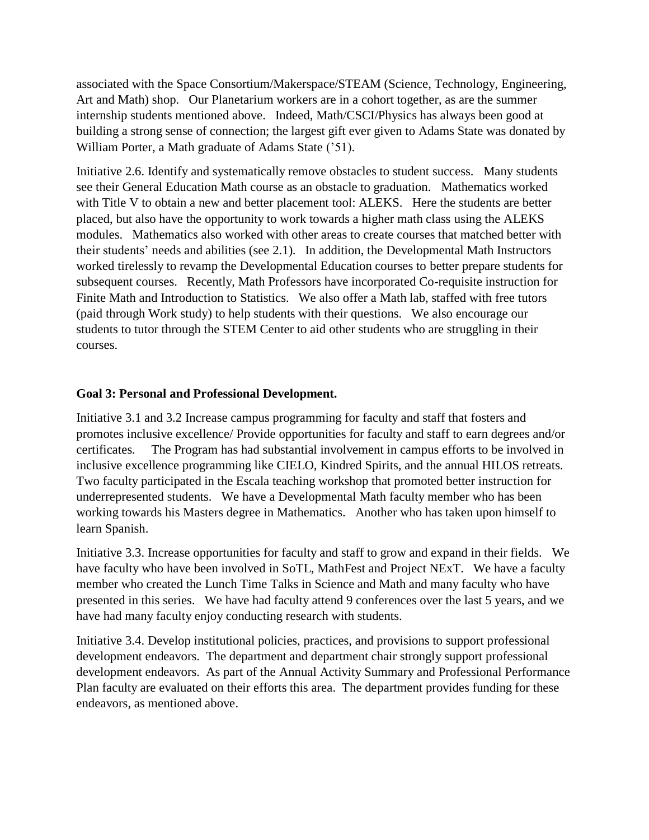associated with the Space Consortium/Makerspace/STEAM (Science, Technology, Engineering, Art and Math) shop. Our Planetarium workers are in a cohort together, as are the summer internship students mentioned above. Indeed, Math/CSCI/Physics has always been good at building a strong sense of connection; the largest gift ever given to Adams State was donated by William Porter, a Math graduate of Adams State ('51).

Initiative 2.6. Identify and systematically remove obstacles to student success. Many students see their General Education Math course as an obstacle to graduation. Mathematics worked with Title V to obtain a new and better placement tool: ALEKS. Here the students are better placed, but also have the opportunity to work towards a higher math class using the ALEKS modules. Mathematics also worked with other areas to create courses that matched better with their students' needs and abilities (see 2.1). In addition, the Developmental Math Instructors worked tirelessly to revamp the Developmental Education courses to better prepare students for subsequent courses. Recently, Math Professors have incorporated Co-requisite instruction for Finite Math and Introduction to Statistics. We also offer a Math lab, staffed with free tutors (paid through Work study) to help students with their questions. We also encourage our students to tutor through the STEM Center to aid other students who are struggling in their courses.

#### **Goal 3: Personal and Professional Development.**

Initiative 3.1 and 3.2 Increase campus programming for faculty and staff that fosters and promotes inclusive excellence/ Provide opportunities for faculty and staff to earn degrees and/or certificates. The Program has had substantial involvement in campus efforts to be involved in inclusive excellence programming like CIELO, Kindred Spirits, and the annual HILOS retreats. Two faculty participated in the Escala teaching workshop that promoted better instruction for underrepresented students. We have a Developmental Math faculty member who has been working towards his Masters degree in Mathematics. Another who has taken upon himself to learn Spanish.

Initiative 3.3. Increase opportunities for faculty and staff to grow and expand in their fields. We have faculty who have been involved in SoTL, MathFest and Project NExT. We have a faculty member who created the Lunch Time Talks in Science and Math and many faculty who have presented in this series. We have had faculty attend 9 conferences over the last 5 years, and we have had many faculty enjoy conducting research with students.

Initiative 3.4. Develop institutional policies, practices, and provisions to support professional development endeavors. The department and department chair strongly support professional development endeavors. As part of the Annual Activity Summary and Professional Performance Plan faculty are evaluated on their efforts this area. The department provides funding for these endeavors, as mentioned above.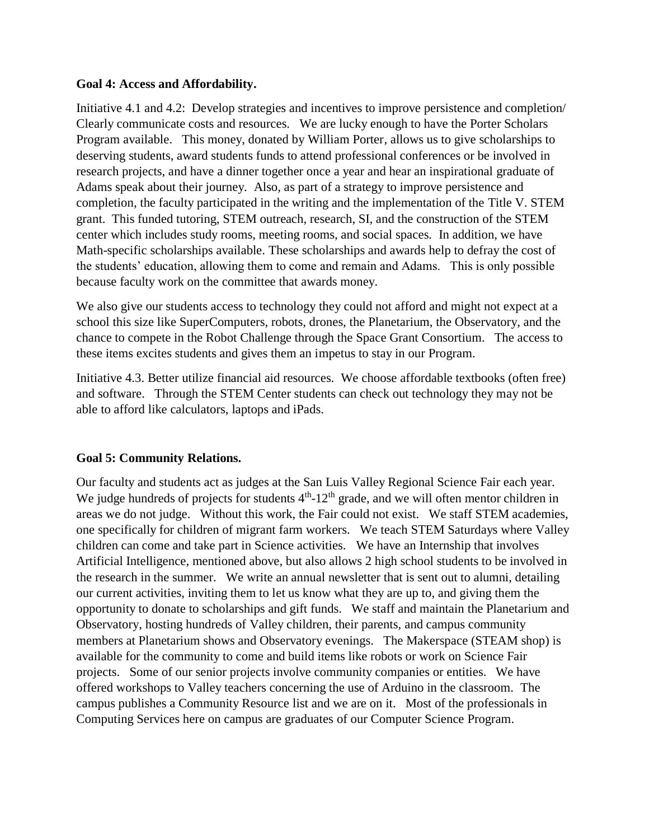#### **Goal 4: Access and Affordability.**

Initiative 4.1 and 4.2: Develop strategies and incentives to improve persistence and completion/ Clearly communicate costs and resources. We are lucky enough to have the Porter Scholars Program available. This money, donated by William Porter, allows us to give scholarships to deserving students, award students funds to attend professional conferences or be involved in research projects, and have a dinner together once a year and hear an inspirational graduate of Adams speak about their journey. Also, as part of a strategy to improve persistence and completion, the faculty participated in the writing and the implementation of the Title V. STEM grant. This funded tutoring, STEM outreach, research, SI, and the construction of the STEM center which includes study rooms, meeting rooms, and social spaces. In addition, we have Math-specific scholarships available. These scholarships and awards help to defray the cost of the students' education, allowing them to come and remain and Adams. This is only possible because faculty work on the committee that awards money.

We also give our students access to technology they could not afford and might not expect at a school this size like SuperComputers, robots, drones, the Planetarium, the Observatory, and the chance to compete in the Robot Challenge through the Space Grant Consortium. The access to these items excites students and gives them an impetus to stay in our Program.

Initiative 4.3. Better utilize financial aid resources. We choose affordable textbooks (often free) and software. Through the STEM Center students can check out technology they may not be able to afford like calculators, laptops and iPads.

#### **Goal 5: Community Relations.**

Our faculty and students act as judges at the San Luis Valley Regional Science Fair each year. We judge hundreds of projects for students  $4<sup>th</sup>$ -12<sup>th</sup> grade, and we will often mentor children in areas we do not judge. Without this work, the Fair could not exist. We staff STEM academies, one specifically for children of migrant farm workers. We teach STEM Saturdays where Valley children can come and take part in Science activities. We have an Internship that involves Artificial Intelligence, mentioned above, but also allows 2 high school students to be involved in the research in the summer. We write an annual newsletter that is sent out to alumni, detailing our current activities, inviting them to let us know what they are up to, and giving them the opportunity to donate to scholarships and gift funds. We staff and maintain the Planetarium and Observatory, hosting hundreds of Valley children, their parents, and campus community members at Planetarium shows and Observatory evenings. The Makerspace (STEAM shop) is available for the community to come and build items like robots or work on Science Fair projects. Some of our senior projects involve community companies or entities. We have offered workshops to Valley teachers concerning the use of Arduino in the classroom. The campus publishes a Community Resource list and we are on it. Most of the professionals in Computing Services here on campus are graduates of our Computer Science Program.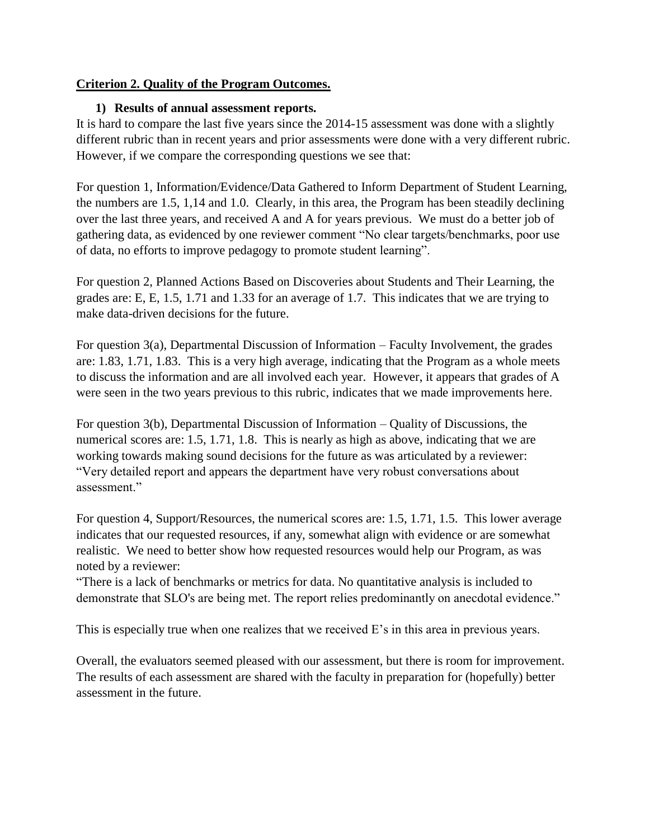## **Criterion 2. Quality of the Program Outcomes.**

#### **1) Results of annual assessment reports.**

It is hard to compare the last five years since the 2014-15 assessment was done with a slightly different rubric than in recent years and prior assessments were done with a very different rubric. However, if we compare the corresponding questions we see that:

For question 1, Information/Evidence/Data Gathered to Inform Department of Student Learning, the numbers are 1.5, 1,14 and 1.0. Clearly, in this area, the Program has been steadily declining over the last three years, and received A and A for years previous. We must do a better job of gathering data, as evidenced by one reviewer comment "No clear targets/benchmarks, poor use of data, no efforts to improve pedagogy to promote student learning".

For question 2, Planned Actions Based on Discoveries about Students and Their Learning, the grades are: E, E, 1.5, 1.71 and 1.33 for an average of 1.7. This indicates that we are trying to make data-driven decisions for the future.

For question 3(a), Departmental Discussion of Information – Faculty Involvement, the grades are: 1.83, 1.71, 1.83. This is a very high average, indicating that the Program as a whole meets to discuss the information and are all involved each year. However, it appears that grades of A were seen in the two years previous to this rubric, indicates that we made improvements here.

For question 3(b), Departmental Discussion of Information – Quality of Discussions, the numerical scores are: 1.5, 1.71, 1.8. This is nearly as high as above, indicating that we are working towards making sound decisions for the future as was articulated by a reviewer: "Very detailed report and appears the department have very robust conversations about assessment."

For question 4, Support/Resources, the numerical scores are: 1.5, 1.71, 1.5. This lower average indicates that our requested resources, if any, somewhat align with evidence or are somewhat realistic. We need to better show how requested resources would help our Program, as was noted by a reviewer:

"There is a lack of benchmarks or metrics for data. No quantitative analysis is included to demonstrate that SLO's are being met. The report relies predominantly on anecdotal evidence."

This is especially true when one realizes that we received E's in this area in previous years.

Overall, the evaluators seemed pleased with our assessment, but there is room for improvement. The results of each assessment are shared with the faculty in preparation for (hopefully) better assessment in the future.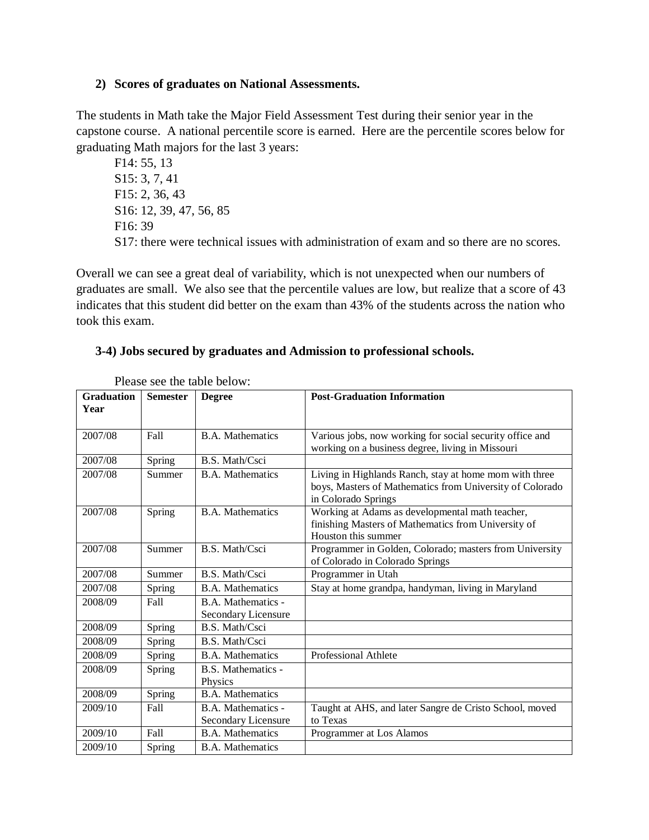#### **2) Scores of graduates on National Assessments.**

The students in Math take the Major Field Assessment Test during their senior year in the capstone course. A national percentile score is earned. Here are the percentile scores below for graduating Math majors for the last 3 years:

F14: 55, 13 S15: 3, 7, 41 F15: 2, 36, 43 S16: 12, 39, 47, 56, 85 F16: 39 S17: there were technical issues with administration of exam and so there are no scores.

Overall we can see a great deal of variability, which is not unexpected when our numbers of graduates are small. We also see that the percentile values are low, but realize that a score of 43 indicates that this student did better on the exam than 43% of the students across the nation who took this exam.

#### **3-4) Jobs secured by graduates and Admission to professional schools.**

| <b>Graduation</b><br>Year | <b>Semester</b> | <b>Degree</b>                             | <b>Post-Graduation Information</b>                                                                                                        |
|---------------------------|-----------------|-------------------------------------------|-------------------------------------------------------------------------------------------------------------------------------------------|
|                           |                 |                                           |                                                                                                                                           |
| 2007/08                   | Fall            | <b>B.A.</b> Mathematics                   | Various jobs, now working for social security office and<br>working on a business degree, living in Missouri                              |
| 2007/08                   | Spring          | B.S. Math/Csci                            |                                                                                                                                           |
| 2007/08                   | Summer          | <b>B.A.</b> Mathematics                   | Living in Highlands Ranch, stay at home mom with three<br>boys, Masters of Mathematics from University of Colorado<br>in Colorado Springs |
| 2007/08                   | Spring          | <b>B.A. Mathematics</b>                   | Working at Adams as developmental math teacher,<br>finishing Masters of Mathematics from University of<br>Houston this summer             |
| 2007/08                   | Summer          | B.S. Math/Csci                            | Programmer in Golden, Colorado; masters from University<br>of Colorado in Colorado Springs                                                |
| 2007/08                   | Summer          | B.S. Math/Csci                            | Programmer in Utah                                                                                                                        |
| 2007/08                   | Spring          | <b>B.A.</b> Mathematics                   | Stay at home grandpa, handyman, living in Maryland                                                                                        |
| 2008/09                   | Fall            | B.A. Mathematics -<br>Secondary Licensure |                                                                                                                                           |
| 2008/09                   | Spring          | B.S. Math/Csci                            |                                                                                                                                           |
| 2008/09                   | Spring          | B.S. Math/Csci                            |                                                                                                                                           |
| 2008/09                   | Spring          | <b>B.A.</b> Mathematics                   | Professional Athlete                                                                                                                      |
| 2008/09                   | Spring          | B.S. Mathematics -<br>Physics             |                                                                                                                                           |
| 2008/09                   | Spring          | <b>B.A. Mathematics</b>                   |                                                                                                                                           |
| 2009/10                   | Fall            | B.A. Mathematics -<br>Secondary Licensure | Taught at AHS, and later Sangre de Cristo School, moved<br>to Texas                                                                       |
| 2009/10                   | Fall            | <b>B.A.</b> Mathematics                   | Programmer at Los Alamos                                                                                                                  |
| 2009/10                   | Spring          | <b>B.A.</b> Mathematics                   |                                                                                                                                           |

Please see the table below: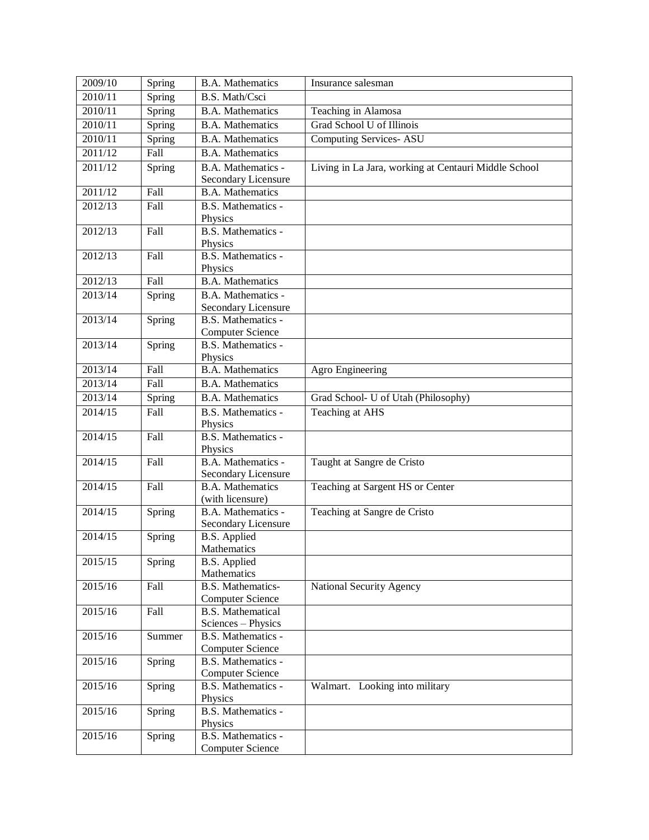| 2009/10 | Spring | <b>B.A. Mathematics</b>                        | Insurance salesman                                   |
|---------|--------|------------------------------------------------|------------------------------------------------------|
| 2010/11 | Spring | B.S. Math/Csci                                 |                                                      |
| 2010/11 | Spring | <b>B.A. Mathematics</b>                        | Teaching in Alamosa                                  |
| 2010/11 | Spring | <b>B.A. Mathematics</b>                        | Grad School U of Illinois                            |
| 2010/11 | Spring | <b>B.A. Mathematics</b>                        | <b>Computing Services- ASU</b>                       |
| 2011/12 | Fall   | <b>B.A. Mathematics</b>                        |                                                      |
| 2011/12 | Spring | B.A. Mathematics -                             | Living in La Jara, working at Centauri Middle School |
|         |        | Secondary Licensure                            |                                                      |
| 2011/12 | Fall   | <b>B.A.</b> Mathematics                        |                                                      |
| 2012/13 | Fall   | B.S. Mathematics -                             |                                                      |
|         |        | Physics                                        |                                                      |
| 2012/13 | Fall   | B.S. Mathematics -                             |                                                      |
|         |        | Physics                                        |                                                      |
| 2012/13 | Fall   | B.S. Mathematics -<br>Physics                  |                                                      |
| 2012/13 | Fall   | <b>B.A.</b> Mathematics                        |                                                      |
| 2013/14 | Spring | B.A. Mathematics -                             |                                                      |
|         |        | Secondary Licensure                            |                                                      |
| 2013/14 | Spring | B.S. Mathematics -                             |                                                      |
|         |        | <b>Computer Science</b>                        |                                                      |
| 2013/14 | Spring | B.S. Mathematics -                             |                                                      |
|         |        | Physics                                        |                                                      |
| 2013/14 | Fall   | <b>B.A. Mathematics</b>                        | Agro Engineering                                     |
| 2013/14 | Fall   | <b>B.A. Mathematics</b>                        |                                                      |
| 2013/14 | Spring | <b>B.A. Mathematics</b>                        | Grad School- U of Utah (Philosophy)                  |
| 2014/15 | Fall   | B.S. Mathematics -                             | Teaching at AHS                                      |
|         |        | Physics                                        |                                                      |
| 2014/15 | Fall   | B.S. Mathematics -                             |                                                      |
|         |        | Physics                                        |                                                      |
| 2014/15 | Fall   | B.A. Mathematics -                             | Taught at Sangre de Cristo                           |
| 2014/15 | Fall   | Secondary Licensure<br><b>B.A. Mathematics</b> | Teaching at Sargent HS or Center                     |
|         |        | (with licensure)                               |                                                      |
| 2014/15 | Spring | B.A. Mathematics -                             | Teaching at Sangre de Cristo                         |
|         |        | Secondary Licensure                            |                                                      |
| 2014/15 | Spring | <b>B.S.</b> Applied                            |                                                      |
|         |        | <b>Mathematics</b>                             |                                                      |
| 2015/15 | Spring | B.S. Applied                                   |                                                      |
|         |        | Mathematics                                    |                                                      |
| 2015/16 | Fall   | <b>B.S. Mathematics-</b>                       | National Security Agency                             |
|         |        | <b>Computer Science</b>                        |                                                      |
| 2015/16 | Fall   | <b>B.S. Mathematical</b>                       |                                                      |
| 2015/16 | Summer | Sciences - Physics<br>B.S. Mathematics -       |                                                      |
|         |        | <b>Computer Science</b>                        |                                                      |
| 2015/16 | Spring | B.S. Mathematics -                             |                                                      |
|         |        | <b>Computer Science</b>                        |                                                      |
| 2015/16 | Spring | B.S. Mathematics -                             | Walmart. Looking into military                       |
|         |        | Physics                                        |                                                      |
| 2015/16 | Spring | B.S. Mathematics -                             |                                                      |
|         |        | Physics                                        |                                                      |
| 2015/16 | Spring | B.S. Mathematics -                             |                                                      |
|         |        | <b>Computer Science</b>                        |                                                      |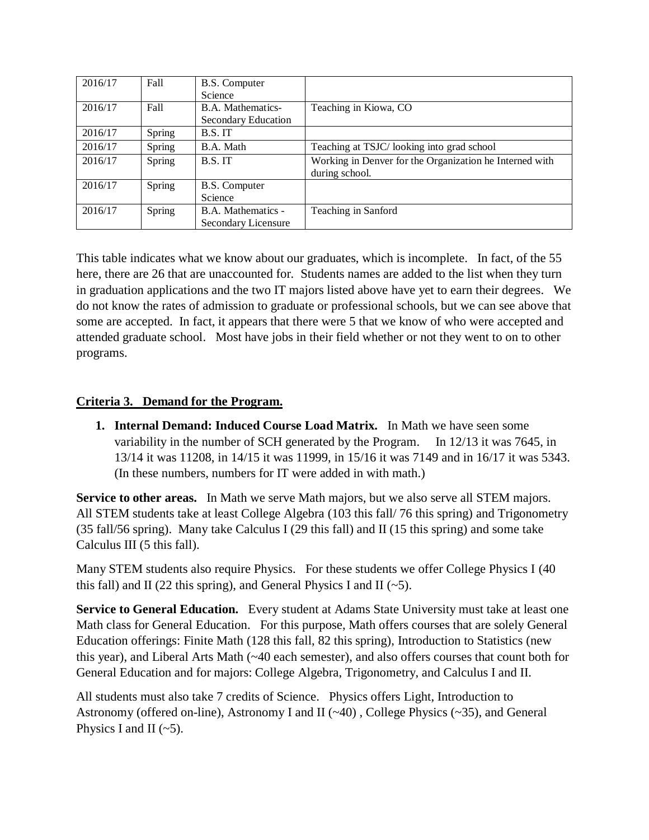| 2016/17 | Fall   | B.S. Computer       |                                                         |
|---------|--------|---------------------|---------------------------------------------------------|
|         |        | Science             |                                                         |
| 2016/17 | Fall   | B.A. Mathematics-   | Teaching in Kiowa, CO                                   |
|         |        | Secondary Education |                                                         |
| 2016/17 | Spring | B.S.IT              |                                                         |
| 2016/17 | Spring | B.A. Math           | Teaching at TSJC/looking into grad school               |
| 2016/17 | Spring | B.S.IT              | Working in Denver for the Organization he Interned with |
|         |        |                     | during school.                                          |
| 2016/17 | Spring | B.S. Computer       |                                                         |
|         |        | Science             |                                                         |
| 2016/17 | Spring | B.A. Mathematics -  | Teaching in Sanford                                     |
|         |        | Secondary Licensure |                                                         |

This table indicates what we know about our graduates, which is incomplete. In fact, of the 55 here, there are 26 that are unaccounted for. Students names are added to the list when they turn in graduation applications and the two IT majors listed above have yet to earn their degrees. We do not know the rates of admission to graduate or professional schools, but we can see above that some are accepted. In fact, it appears that there were 5 that we know of who were accepted and attended graduate school. Most have jobs in their field whether or not they went to on to other programs.

## **Criteria 3. Demand for the Program.**

**1. Internal Demand: Induced Course Load Matrix.** In Math we have seen some variability in the number of SCH generated by the Program. In 12/13 it was 7645, in 13/14 it was 11208, in 14/15 it was 11999, in 15/16 it was 7149 and in 16/17 it was 5343. (In these numbers, numbers for IT were added in with math.)

**Service to other areas.** In Math we serve Math majors, but we also serve all STEM majors. All STEM students take at least College Algebra (103 this fall/ 76 this spring) and Trigonometry (35 fall/56 spring). Many take Calculus I (29 this fall) and II (15 this spring) and some take Calculus III (5 this fall).

Many STEM students also require Physics. For these students we offer College Physics I (40 this fall) and II (22 this spring), and General Physics I and II ( $\sim$ 5).

**Service to General Education.** Every student at Adams State University must take at least one Math class for General Education. For this purpose, Math offers courses that are solely General Education offerings: Finite Math (128 this fall, 82 this spring), Introduction to Statistics (new this year), and Liberal Arts Math (~40 each semester), and also offers courses that count both for General Education and for majors: College Algebra, Trigonometry, and Calculus I and II.

All students must also take 7 credits of Science. Physics offers Light, Introduction to Astronomy (offered on-line), Astronomy I and II (~40) , College Physics (~35), and General Physics I and II  $(-5)$ .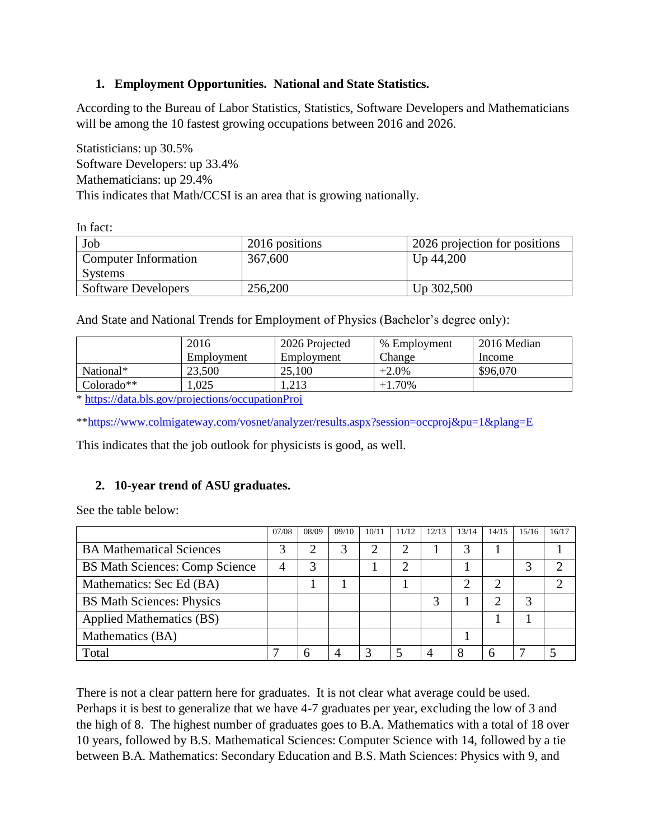## **1. Employment Opportunities. National and State Statistics.**

According to the Bureau of Labor Statistics, Statistics, Software Developers and Mathematicians will be among the 10 fastest growing occupations between 2016 and 2026.

Statisticians: up 30.5% Software Developers: up 33.4% Mathematicians: up 29.4% This indicates that Math/CCSI is an area that is growing nationally.

In fact:

| Job                        | 2016 positions | 2026 projection for positions |
|----------------------------|----------------|-------------------------------|
| Computer Information       | 367,600        | Up 44,200                     |
| Systems                    |                |                               |
| <b>Software Developers</b> | 256,200        | Up 302,500                    |

And State and National Trends for Employment of Physics (Bachelor's degree only):

|              | 2016       | 2026 Projected | % Employment | 2016 Median |
|--------------|------------|----------------|--------------|-------------|
|              | Employment | Employment     | Change       | Income      |
| National*    | 23,500     | 25,100         | $+2.0\%$     | \$96,070    |
| $Colorado**$ | .025       | 1.213          | $+1.70%$     |             |

\*<https://data.bls.gov/projections/occupationProj>

\*[\\*https://www.colmigateway.com/vosnet/analyzer/results.aspx?session=occproj&pu=1&plang=E](https://www.colmigateway.com/vosnet/analyzer/results.aspx?session=occproj&pu=1&plang=E)

This indicates that the job outlook for physicists is good, as well.

### **2. 10-year trend of ASU graduates.**

See the table below:

|                                       | 07/08 | 08/09 | 09/10 | 10/11 | 11/12 | 12/13 | 13/14 | 14/15 | 15/16 | 16/17 |
|---------------------------------------|-------|-------|-------|-------|-------|-------|-------|-------|-------|-------|
| <b>BA Mathematical Sciences</b>       |       |       | 3     | ◠     |       |       |       |       |       |       |
| <b>BS Math Sciences: Comp Science</b> | 4     | 3     |       |       |       |       |       |       |       |       |
| Mathematics: Sec Ed (BA)              |       |       |       |       |       |       | ി     |       |       |       |
| <b>BS Math Sciences: Physics</b>      |       |       |       |       |       |       |       |       | 3     |       |
| <b>Applied Mathematics (BS)</b>       |       |       |       |       |       |       |       |       |       |       |
| Mathematics (BA)                      |       |       |       |       |       |       |       |       |       |       |
| Total                                 |       | h     |       |       |       |       | 8     | 6     |       |       |

There is not a clear pattern here for graduates. It is not clear what average could be used. Perhaps it is best to generalize that we have 4-7 graduates per year, excluding the low of 3 and the high of 8. The highest number of graduates goes to B.A. Mathematics with a total of 18 over 10 years, followed by B.S. Mathematical Sciences: Computer Science with 14, followed by a tie between B.A. Mathematics: Secondary Education and B.S. Math Sciences: Physics with 9, and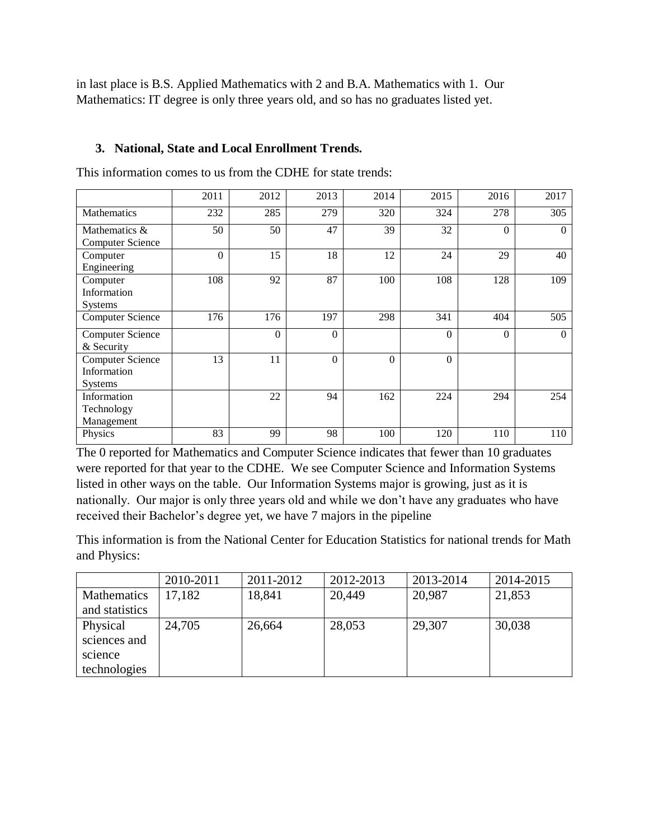in last place is B.S. Applied Mathematics with 2 and B.A. Mathematics with 1. Our Mathematics: IT degree is only three years old, and so has no graduates listed yet.

## **3. National, State and Local Enrollment Trends.**

This information comes to us from the CDHE for state trends:

|                         | 2011     | 2012     | 2013     | 2014     | 2015             | 2016     | 2017           |
|-------------------------|----------|----------|----------|----------|------------------|----------|----------------|
| <b>Mathematics</b>      | 232      | 285      | 279      | 320      | 324              | 278      | 305            |
| Mathematics &           | 50       | 50       | 47       | 39       | 32               | $\Omega$ | $\overline{0}$ |
| <b>Computer Science</b> |          |          |          |          |                  |          |                |
| Computer                | $\theta$ | 15       | 18       | 12       | 24               | 29       | 40             |
| Engineering             |          |          |          |          |                  |          |                |
| Computer                | 108      | 92       | 87       | 100      | 108              | 128      | 109            |
| Information             |          |          |          |          |                  |          |                |
| <b>Systems</b>          |          |          |          |          |                  |          |                |
| <b>Computer Science</b> | 176      | 176      | 197      | 298      | 341              | 404      | 505            |
| <b>Computer Science</b> |          | $\Omega$ | $\Omega$ |          | $\Omega$         | $\Omega$ | $\theta$       |
| & Security              |          |          |          |          |                  |          |                |
| <b>Computer Science</b> | 13       | 11       | $\Omega$ | $\Omega$ | $\boldsymbol{0}$ |          |                |
| Information             |          |          |          |          |                  |          |                |
| <b>Systems</b>          |          |          |          |          |                  |          |                |
| Information             |          | 22       | 94       | 162      | 224              | 294      | 254            |
| Technology              |          |          |          |          |                  |          |                |
| Management              |          |          |          |          |                  |          |                |
| Physics                 | 83       | 99       | 98       | 100      | 120              | 110      | 110            |

The 0 reported for Mathematics and Computer Science indicates that fewer than 10 graduates were reported for that year to the CDHE. We see Computer Science and Information Systems listed in other ways on the table. Our Information Systems major is growing, just as it is nationally. Our major is only three years old and while we don't have any graduates who have received their Bachelor's degree yet, we have 7 majors in the pipeline

This information is from the National Center for Education Statistics for national trends for Math and Physics:

|                                                     | 2010-2011 | 2011-2012 | 2012-2013 | 2013-2014 | 2014-2015 |
|-----------------------------------------------------|-----------|-----------|-----------|-----------|-----------|
| Mathematics<br>and statistics                       | 17,182    | 18,841    | 20,449    | 20,987    | 21,853    |
| Physical<br>sciences and<br>science<br>technologies | 24,705    | 26,664    | 28,053    | 29,307    | 30,038    |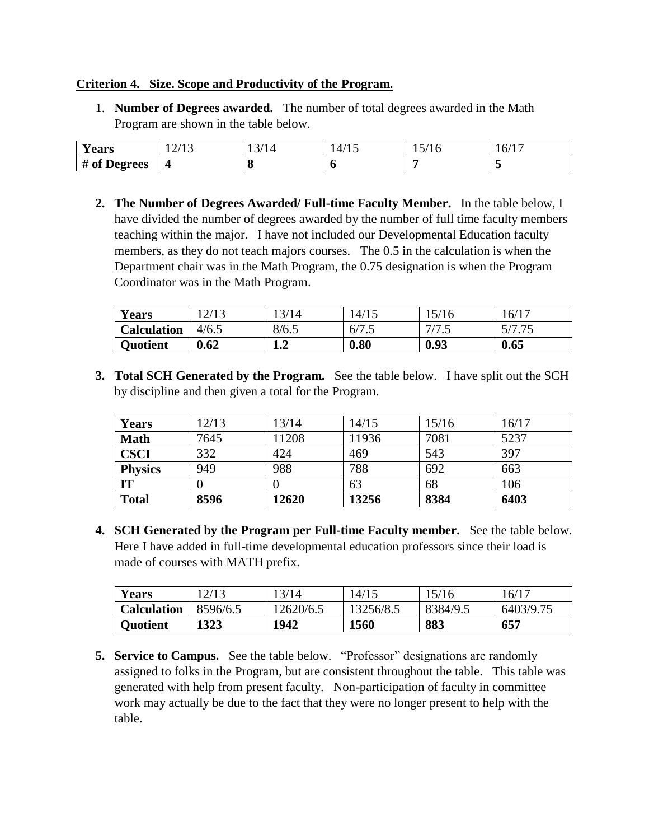#### **Criterion 4. Size. Scope and Productivity of the Program.**

1. **Number of Degrees awarded.** The number of total degrees awarded in the Math Program are shown in the table below.

| $\mathbf{v}$<br><b>Years</b> | 10112<br>141 I J | $\bigcap$ $\bigcup$<br>l 4<br>1 <i>01</i> 1 | - 11 | $-11$<br>13/10 | $16/1$ <sup>-</sup> |
|------------------------------|------------------|---------------------------------------------|------|----------------|---------------------|
| # of Degrees                 | $\sqrt{2}$       | u                                           | ш    |                |                     |

**2. The Number of Degrees Awarded/ Full-time Faculty Member.** In the table below, I have divided the number of degrees awarded by the number of full time faculty members teaching within the major. I have not included our Developmental Education faculty members, as they do not teach majors courses. The 0.5 in the calculation is when the Department chair was in the Math Program, the 0.75 designation is when the Program Coordinator was in the Math Program.

| Years              | $\sqrt{112}$<br>ب ہے ۔ |                       | 14/15 | 5/16     | 16/17 |
|--------------------|------------------------|-----------------------|-------|----------|-------|
| <b>Calculation</b> | 4/6.5                  | 8/6.5                 | 6/7   | ر. ، ، ا | - 7   |
| <b>Quotient</b>    | 0.62                   | $\blacksquare$<br>⊥∙∠ | 0.80  | 0.93     | 0.65  |

**3. Total SCH Generated by the Program.** See the table below. I have split out the SCH by discipline and then given a total for the Program.

| Years          | 12/13 | 13/14 | 14/15 | 15/16 | 16/17 |
|----------------|-------|-------|-------|-------|-------|
| <b>Math</b>    | 7645  | 11208 | 11936 | 7081  | 5237  |
| <b>CSCI</b>    | 332   | 424   | 469   | 543   | 397   |
| <b>Physics</b> | 949   | 988   | 788   | 692   | 663   |
| IT             |       |       | 63    | 68    | 106   |
| <b>Total</b>   | 8596  | 12620 | 13256 | 8384  | 6403  |

**4. SCH Generated by the Program per Full-time Faculty member.** See the table below. Here I have added in full-time developmental education professors since their load is made of courses with MATH prefix.

| <b>Years</b>       | 12/13    | 13/14     | 14/15       | 15/16    | 16/17     |
|--------------------|----------|-----------|-------------|----------|-----------|
| <b>Calculation</b> | 8596/6.5 | 12620/6.5 | 13256/8.5   | 8384/9.5 | 6403/9.75 |
| Quotient           | 1323     | 1942      | <b>1560</b> | 883      | 657       |

**5. Service to Campus.** See the table below. "Professor" designations are randomly assigned to folks in the Program, but are consistent throughout the table. This table was generated with help from present faculty. Non-participation of faculty in committee work may actually be due to the fact that they were no longer present to help with the table.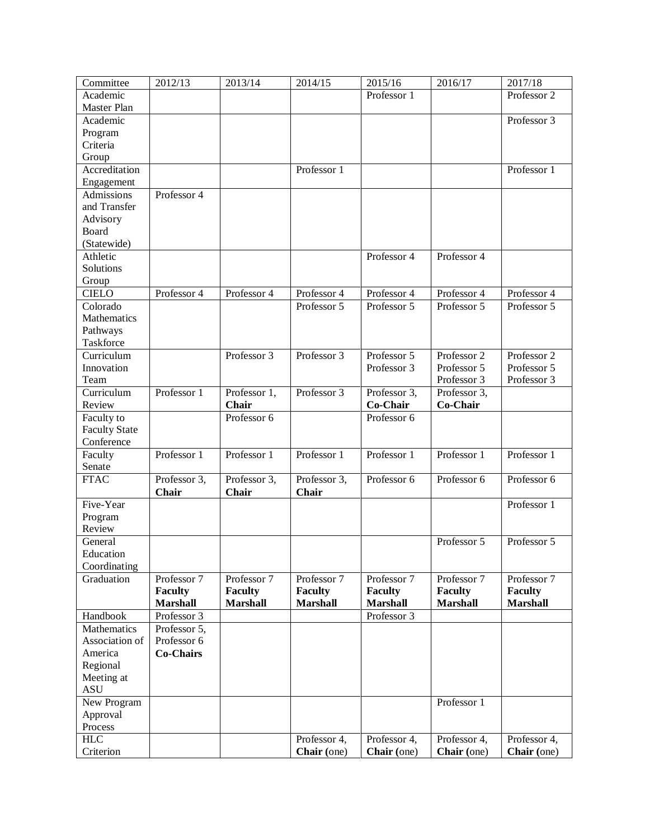| Committee            | 2012/13          | 2013/14         | 2014/15         | 2015/16         | 2016/17         | 2017/18         |
|----------------------|------------------|-----------------|-----------------|-----------------|-----------------|-----------------|
| Academic             |                  |                 |                 | Professor 1     |                 | Professor 2     |
| <b>Master Plan</b>   |                  |                 |                 |                 |                 |                 |
| Academic             |                  |                 |                 |                 |                 | Professor 3     |
| Program              |                  |                 |                 |                 |                 |                 |
| Criteria             |                  |                 |                 |                 |                 |                 |
| Group                |                  |                 |                 |                 |                 |                 |
| Accreditation        |                  |                 | Professor 1     |                 |                 | Professor 1     |
| Engagement           |                  |                 |                 |                 |                 |                 |
| Admissions           | Professor 4      |                 |                 |                 |                 |                 |
| and Transfer         |                  |                 |                 |                 |                 |                 |
|                      |                  |                 |                 |                 |                 |                 |
| Advisory<br>Board    |                  |                 |                 |                 |                 |                 |
|                      |                  |                 |                 |                 |                 |                 |
| (Statewide)          |                  |                 |                 |                 |                 |                 |
| Athletic             |                  |                 |                 | Professor 4     | Professor 4     |                 |
| Solutions            |                  |                 |                 |                 |                 |                 |
| Group                |                  |                 |                 |                 |                 |                 |
| <b>CIELO</b>         | Professor 4      | Professor 4     | Professor 4     | Professor 4     | Professor 4     | Professor 4     |
| Colorado             |                  |                 | Professor 5     | Professor 5     | Professor 5     | Professor 5     |
| Mathematics          |                  |                 |                 |                 |                 |                 |
| Pathways             |                  |                 |                 |                 |                 |                 |
| Taskforce            |                  |                 |                 |                 |                 |                 |
| Curriculum           |                  | Professor 3     | Professor 3     | Professor 5     | Professor 2     | Professor 2     |
| Innovation           |                  |                 |                 | Professor 3     | Professor 5     | Professor 5     |
| Team                 |                  |                 |                 |                 | Professor 3     | Professor 3     |
| Curriculum           | Professor 1      | Professor 1,    | Professor 3     | Professor 3,    | Professor 3,    |                 |
| Review               |                  | Chair           |                 | Co-Chair        | Co-Chair        |                 |
| Faculty to           |                  | Professor 6     |                 | Professor 6     |                 |                 |
| <b>Faculty State</b> |                  |                 |                 |                 |                 |                 |
| Conference           |                  |                 |                 |                 |                 |                 |
| Faculty              | Professor 1      | Professor 1     | Professor 1     | Professor 1     | Professor 1     | Professor 1     |
| Senate               |                  |                 |                 |                 |                 |                 |
| <b>FTAC</b>          | Professor 3,     | Professor 3,    | Professor 3,    | Professor 6     | Professor 6     | Professor 6     |
|                      | <b>Chair</b>     | <b>Chair</b>    | Chair           |                 |                 |                 |
| Five-Year            |                  |                 |                 |                 |                 | Professor 1     |
| Program              |                  |                 |                 |                 |                 |                 |
| Review               |                  |                 |                 |                 |                 |                 |
| General              |                  |                 |                 |                 | Professor 5     | Professor 5     |
| Education            |                  |                 |                 |                 |                 |                 |
| Coordinating         |                  |                 |                 |                 |                 |                 |
| Graduation           | Professor 7      | Professor 7     | Professor 7     | Professor 7     | Professor 7     | Professor 7     |
|                      | <b>Faculty</b>   | <b>Faculty</b>  | <b>Faculty</b>  | <b>Faculty</b>  | <b>Faculty</b>  | <b>Faculty</b>  |
|                      |                  | <b>Marshall</b> |                 |                 |                 | <b>Marshall</b> |
|                      | <b>Marshall</b>  |                 | <b>Marshall</b> | <b>Marshall</b> | <b>Marshall</b> |                 |
| Handbook             | Professor 3      |                 |                 | Professor 3     |                 |                 |
| Mathematics          | Professor 5,     |                 |                 |                 |                 |                 |
| Association of       | Professor 6      |                 |                 |                 |                 |                 |
| America              | <b>Co-Chairs</b> |                 |                 |                 |                 |                 |
| Regional             |                  |                 |                 |                 |                 |                 |
| Meeting at           |                  |                 |                 |                 |                 |                 |
| <b>ASU</b>           |                  |                 |                 |                 |                 |                 |
| New Program          |                  |                 |                 |                 | Professor 1     |                 |
| Approval             |                  |                 |                 |                 |                 |                 |
| Process              |                  |                 |                 |                 |                 |                 |
| <b>HLC</b>           |                  |                 | Professor 4,    | Professor 4,    | Professor 4,    | Professor 4,    |
| Criterion            |                  |                 | Chair (one)     | Chair (one)     | Chair (one)     | Chair (one)     |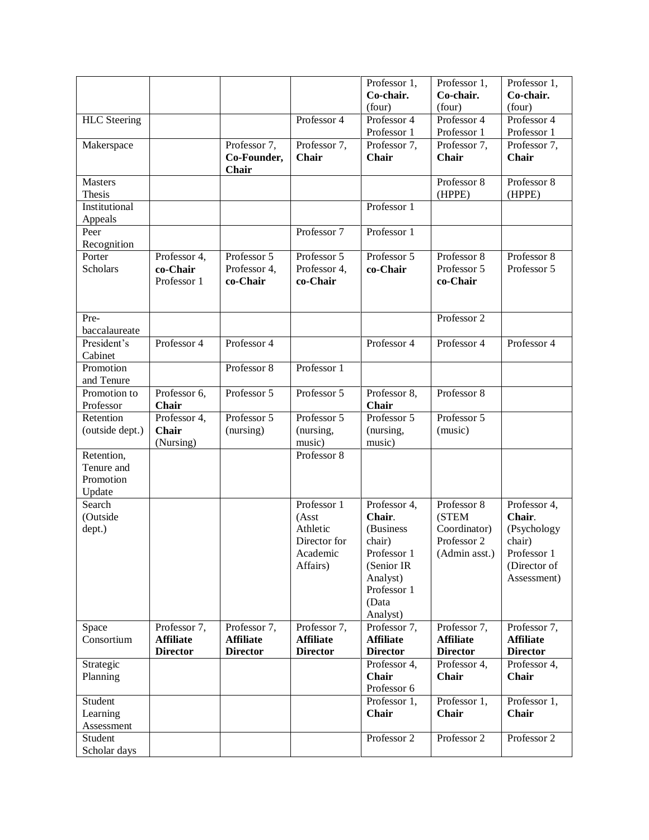|                                                 |                                                     |                                                     |                                                                          | Professor 1,<br>Co-chair.<br>(four)                                                                                         | Professor 1,<br>Co-chair.<br>(four)                                  | Professor 1,<br>Co-chair.<br>(four)                                                           |
|-------------------------------------------------|-----------------------------------------------------|-----------------------------------------------------|--------------------------------------------------------------------------|-----------------------------------------------------------------------------------------------------------------------------|----------------------------------------------------------------------|-----------------------------------------------------------------------------------------------|
| <b>HLC</b> Steering                             |                                                     |                                                     | Professor 4                                                              | Professor 4<br>Professor 1                                                                                                  | Professor 4<br>Professor 1                                           | Professor 4<br>Professor 1                                                                    |
| Makerspace                                      |                                                     | Professor 7,<br>Co-Founder,<br>Chair                | Professor 7,<br>Chair                                                    | Professor 7,<br><b>Chair</b>                                                                                                | Professor 7,<br>Chair                                                | Professor 7,<br>Chair                                                                         |
| <b>Masters</b><br><b>Thesis</b>                 |                                                     |                                                     |                                                                          |                                                                                                                             | Professor 8<br>(HPPE)                                                | Professor 8<br>(HPPE)                                                                         |
| Institutional<br>Appeals                        |                                                     |                                                     |                                                                          | Professor 1                                                                                                                 |                                                                      |                                                                                               |
| Peer<br>Recognition                             |                                                     |                                                     | Professor 7                                                              | Professor 1                                                                                                                 |                                                                      |                                                                                               |
| Porter<br><b>Scholars</b>                       | Professor 4,<br>co-Chair<br>Professor 1             | Professor 5<br>Professor 4,<br>co-Chair             | Professor 5<br>Professor 4,<br>co-Chair                                  | Professor 5<br>co-Chair                                                                                                     | Professor 8<br>Professor 5<br>co-Chair                               | Professor 8<br>Professor 5                                                                    |
| Pre-<br>baccalaureate                           |                                                     |                                                     |                                                                          |                                                                                                                             | Professor 2                                                          |                                                                                               |
| President's<br>Cabinet                          | Professor 4                                         | Professor 4                                         |                                                                          | Professor 4                                                                                                                 | Professor 4                                                          | Professor 4                                                                                   |
| Promotion<br>and Tenure                         |                                                     | Professor 8                                         | Professor 1                                                              |                                                                                                                             |                                                                      |                                                                                               |
| Promotion to<br>Professor                       | Professor 6,<br>Chair                               | Professor 5                                         | Professor 5                                                              | Professor 8,<br>Chair                                                                                                       | Professor 8                                                          |                                                                                               |
| Retention<br>(outside dept.)                    | Professor 4,<br>Chair<br>(Nursing)                  | Professor 5<br>(nursing)                            | Professor 5<br>(nursing,<br>music)                                       | Professor 5<br>(nursing,<br>music)                                                                                          | Professor 5<br>(music)                                               |                                                                                               |
| Retention,<br>Tenure and<br>Promotion<br>Update |                                                     |                                                     | Professor 8                                                              |                                                                                                                             |                                                                      |                                                                                               |
| Search<br>(Outside<br>dept.)                    |                                                     |                                                     | Professor 1<br>(Asst<br>Athletic<br>Director for<br>Academic<br>Affairs) | Professor 4,<br>Chair.<br>(Business<br>chair)<br>Professor 1<br>(Senior IR)<br>Analyst)<br>Professor 1<br>(Data<br>Analyst) | Professor 8<br>(STEM<br>Coordinator)<br>Professor 2<br>(Admin asst.) | Professor 4,<br>Chair.<br>(Psychology<br>chair)<br>Professor 1<br>(Director of<br>Assessment) |
| Space<br>Consortium                             | Professor 7,<br><b>Affiliate</b><br><b>Director</b> | Professor 7,<br><b>Affiliate</b><br><b>Director</b> | Professor 7,<br><b>Affiliate</b><br><b>Director</b>                      | Professor 7,<br><b>Affiliate</b><br><b>Director</b>                                                                         | Professor 7,<br><b>Affiliate</b><br><b>Director</b>                  | Professor 7,<br><b>Affiliate</b><br><b>Director</b>                                           |
| Strategic<br>Planning                           |                                                     |                                                     |                                                                          | Professor 4,<br><b>Chair</b><br>Professor 6                                                                                 | Professor 4,<br>Chair                                                | Professor 4,<br>Chair                                                                         |
| Student<br>Learning<br>Assessment               |                                                     |                                                     |                                                                          | Professor 1,<br><b>Chair</b>                                                                                                | Professor 1,<br>Chair                                                | Professor 1,<br><b>Chair</b>                                                                  |
| Student<br>Scholar days                         |                                                     |                                                     |                                                                          | Professor 2                                                                                                                 | Professor 2                                                          | Professor 2                                                                                   |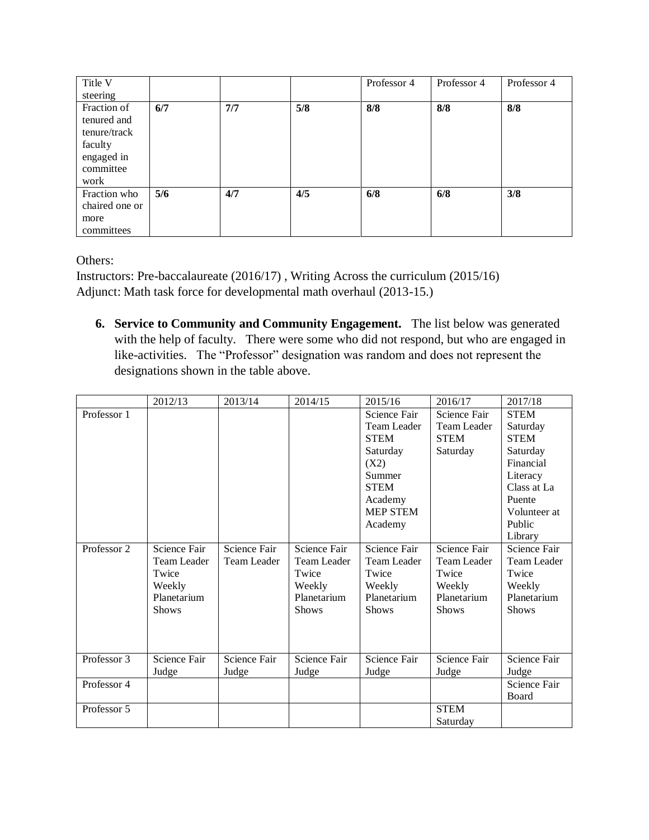| Title V        |     |     |     | Professor 4 | Professor 4 | Professor 4 |
|----------------|-----|-----|-----|-------------|-------------|-------------|
| steering       |     |     |     |             |             |             |
| Fraction of    | 6/7 | 7/7 | 5/8 | 8/8         | 8/8         | 8/8         |
| tenured and    |     |     |     |             |             |             |
| tenure/track   |     |     |     |             |             |             |
| faculty        |     |     |     |             |             |             |
| engaged in     |     |     |     |             |             |             |
| committee      |     |     |     |             |             |             |
| work           |     |     |     |             |             |             |
| Fraction who   | 5/6 | 4/7 | 4/5 | 6/8         | 6/8         | 3/8         |
| chaired one or |     |     |     |             |             |             |
| more           |     |     |     |             |             |             |
| committees     |     |     |     |             |             |             |

Others:

Instructors: Pre-baccalaureate (2016/17) , Writing Across the curriculum (2015/16) Adjunct: Math task force for developmental math overhaul (2013-15.)

**6. Service to Community and Community Engagement.** The list below was generated with the help of faculty. There were some who did not respond, but who are engaged in like-activities. The "Professor" designation was random and does not represent the designations shown in the table above.

|             | 2012/13      | 2013/14            | 2014/15      | 2015/16         | 2016/17      | 2017/18      |
|-------------|--------------|--------------------|--------------|-----------------|--------------|--------------|
| Professor 1 |              |                    |              | Science Fair    | Science Fair | <b>STEM</b>  |
|             |              |                    |              | Team Leader     | Team Leader  | Saturday     |
|             |              |                    |              | <b>STEM</b>     | <b>STEM</b>  | <b>STEM</b>  |
|             |              |                    |              | Saturday        | Saturday     | Saturday     |
|             |              |                    |              | (X2)            |              | Financial    |
|             |              |                    |              | Summer          |              | Literacy     |
|             |              |                    |              | <b>STEM</b>     |              | Class at La  |
|             |              |                    |              | Academy         |              | Puente       |
|             |              |                    |              | <b>MEP STEM</b> |              | Volunteer at |
|             |              |                    |              | Academy         |              | Public       |
|             |              |                    |              |                 |              | Library      |
| Professor 2 | Science Fair | Science Fair       | Science Fair | Science Fair    | Science Fair | Science Fair |
|             | Team Leader  | <b>Team Leader</b> | Team Leader  | Team Leader     | Team Leader  | Team Leader  |
|             | Twice        |                    | Twice        | Twice           | Twice        | Twice        |
|             | Weekly       |                    | Weekly       | Weekly          | Weekly       | Weekly       |
|             | Planetarium  |                    | Planetarium  | Planetarium     | Planetarium  | Planetarium  |
|             | <b>Shows</b> |                    | <b>Shows</b> | <b>Shows</b>    | <b>Shows</b> | <b>Shows</b> |
|             |              |                    |              |                 |              |              |
|             |              |                    |              |                 |              |              |
|             |              |                    |              |                 |              |              |
| Professor 3 | Science Fair | Science Fair       | Science Fair | Science Fair    | Science Fair | Science Fair |
|             | Judge        | Judge              | Judge        | Judge           | Judge        | Judge        |
| Professor 4 |              |                    |              |                 |              | Science Fair |
|             |              |                    |              |                 |              | Board        |
| Professor 5 |              |                    |              |                 | <b>STEM</b>  |              |
|             |              |                    |              |                 | Saturday     |              |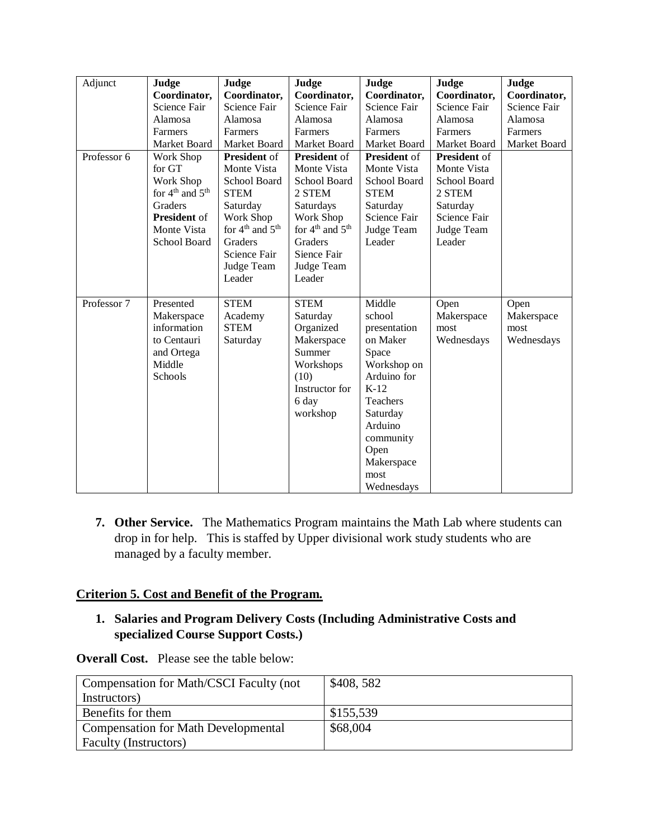| Adjunct     | Judge                                   | Judge                                   | Judge                                   | Judge               | Judge               | Judge        |
|-------------|-----------------------------------------|-----------------------------------------|-----------------------------------------|---------------------|---------------------|--------------|
|             | Coordinator,                            | Coordinator,                            | Coordinator,                            | Coordinator,        | Coordinator,        | Coordinator, |
|             | Science Fair                            | Science Fair                            | Science Fair                            | Science Fair        | Science Fair        | Science Fair |
|             | Alamosa                                 | Alamosa                                 | Alamosa                                 | Alamosa             | Alamosa             | Alamosa      |
|             | Farmers                                 | Farmers                                 | Farmers                                 | Farmers             | Farmers             | Farmers      |
|             | Market Board                            | Market Board                            | Market Board                            | Market Board        | Market Board        | Market Board |
| Professor 6 | Work Shop                               | <b>President</b> of                     | <b>President</b> of                     | <b>President</b> of | <b>President of</b> |              |
|             | for GT                                  | Monte Vista                             | Monte Vista                             | Monte Vista         | Monte Vista         |              |
|             | Work Shop                               | School Board                            | School Board                            | School Board        | School Board        |              |
|             | for $4^{\text{th}}$ and $5^{\text{th}}$ | <b>STEM</b>                             | 2 STEM                                  | <b>STEM</b>         | 2 STEM              |              |
|             | Graders                                 | Saturday                                | Saturdays                               | Saturday            | Saturday            |              |
|             | <b>President</b> of                     | Work Shop                               | Work Shop                               | Science Fair        | Science Fair        |              |
|             | Monte Vista                             | for $4^{\text{th}}$ and $5^{\text{th}}$ | for $4^{\text{th}}$ and $5^{\text{th}}$ | Judge Team          | Judge Team          |              |
|             | School Board                            | Graders                                 | Graders                                 | Leader              | Leader              |              |
|             |                                         | Science Fair                            | Sience Fair                             |                     |                     |              |
|             |                                         | Judge Team                              | Judge Team                              |                     |                     |              |
|             |                                         | Leader                                  | Leader                                  |                     |                     |              |
|             |                                         |                                         |                                         |                     |                     |              |
| Professor 7 | Presented                               | <b>STEM</b>                             | <b>STEM</b>                             | Middle              | Open                | Open         |
|             | Makerspace                              | Academy                                 | Saturday                                | school              | Makerspace          | Makerspace   |
|             | information                             | <b>STEM</b>                             | Organized                               | presentation        | most                | most         |
|             | to Centauri                             | Saturday                                | Makerspace                              | on Maker            | Wednesdays          | Wednesdays   |
|             | and Ortega                              |                                         | Summer                                  | Space               |                     |              |
|             | Middle                                  |                                         | Workshops                               | Workshop on         |                     |              |
|             | Schools                                 |                                         | (10)                                    | Arduino for         |                     |              |
|             |                                         |                                         | Instructor for                          | $K-12$              |                     |              |
|             |                                         |                                         | 6 day                                   | Teachers            |                     |              |
|             |                                         |                                         | workshop                                | Saturday            |                     |              |
|             |                                         |                                         |                                         | Arduino             |                     |              |
|             |                                         |                                         |                                         | community           |                     |              |
|             |                                         |                                         |                                         | Open                |                     |              |
|             |                                         |                                         |                                         | Makerspace          |                     |              |
|             |                                         |                                         |                                         | most                |                     |              |
|             |                                         |                                         |                                         | Wednesdays          |                     |              |

**7. Other Service.** The Mathematics Program maintains the Math Lab where students can drop in for help. This is staffed by Upper divisional work study students who are managed by a faculty member.

## **Criterion 5. Cost and Benefit of the Program.**

## **1. Salaries and Program Delivery Costs (Including Administrative Costs and specialized Course Support Costs.)**

**Overall Cost.** Please see the table below:

| Compensation for Math/CSCI Faculty (not    | \$408,582 |
|--------------------------------------------|-----------|
| Instructors)                               |           |
| Benefits for them                          | \$155,539 |
| <b>Compensation for Math Developmental</b> | \$68,004  |
| Faculty (Instructors)                      |           |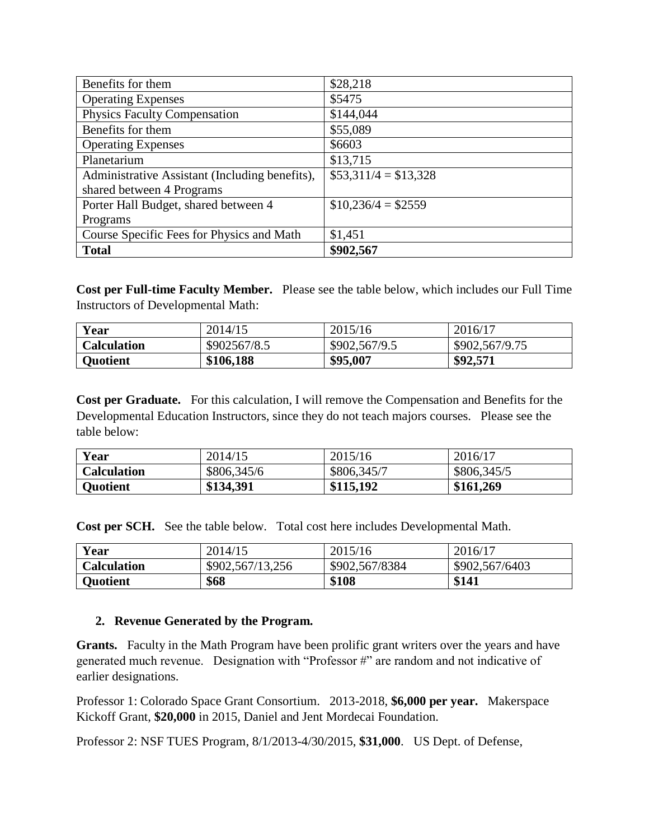| Benefits for them                              | \$28,218              |
|------------------------------------------------|-----------------------|
| <b>Operating Expenses</b>                      | \$5475                |
| <b>Physics Faculty Compensation</b>            | \$144,044             |
| Benefits for them                              | \$55,089              |
| <b>Operating Expenses</b>                      | \$6603                |
| Planetarium                                    | \$13,715              |
| Administrative Assistant (Including benefits), | $$53,311/4 = $13,328$ |
| shared between 4 Programs                      |                       |
| Porter Hall Budget, shared between 4           | $$10,236/4 = $2559$   |
| Programs                                       |                       |
| Course Specific Fees for Physics and Math      | \$1,451               |
| <b>Total</b>                                   | \$902,567             |

**Cost per Full-time Faculty Member.** Please see the table below, which includes our Full Time Instructors of Developmental Math:

| Year               | 2014/15      | 2015/16       | 2016/17        |
|--------------------|--------------|---------------|----------------|
| <b>Calculation</b> | \$902567/8.5 | \$902,567/9.5 | \$902,567/9.75 |
| <b>Quotient</b>    | \$106,188    | \$95,007      | \$92,571       |

**Cost per Graduate.** For this calculation, I will remove the Compensation and Benefits for the Developmental Education Instructors, since they do not teach majors courses. Please see the table below:

| Year               | 2014/15     | 2015/16     | 2016/17     |
|--------------------|-------------|-------------|-------------|
| <b>Calculation</b> | \$806,345/6 | \$806,345/7 | \$806,345/5 |
| <b>Quotient</b>    | \$134,391   | \$115,192   | \$161,269   |

**Cost per SCH.** See the table below. Total cost here includes Developmental Math.

| Year            | 2014/15          | 2015/16        | 2016/17        |
|-----------------|------------------|----------------|----------------|
| Calculation     | \$902,567/13,256 | \$902,567/8384 | \$902,567/6403 |
| <b>Quotient</b> | \$68             | \$108          | \$141          |

#### **2. Revenue Generated by the Program.**

**Grants.** Faculty in the Math Program have been prolific grant writers over the years and have generated much revenue. Designation with "Professor #" are random and not indicative of earlier designations.

Professor 1: Colorado Space Grant Consortium. 2013-2018, **\$6,000 per year.** Makerspace Kickoff Grant, **\$20,000** in 2015, Daniel and Jent Mordecai Foundation.

Professor 2: NSF TUES Program, 8/1/2013-4/30/2015, **\$31,000**. US Dept. of Defense,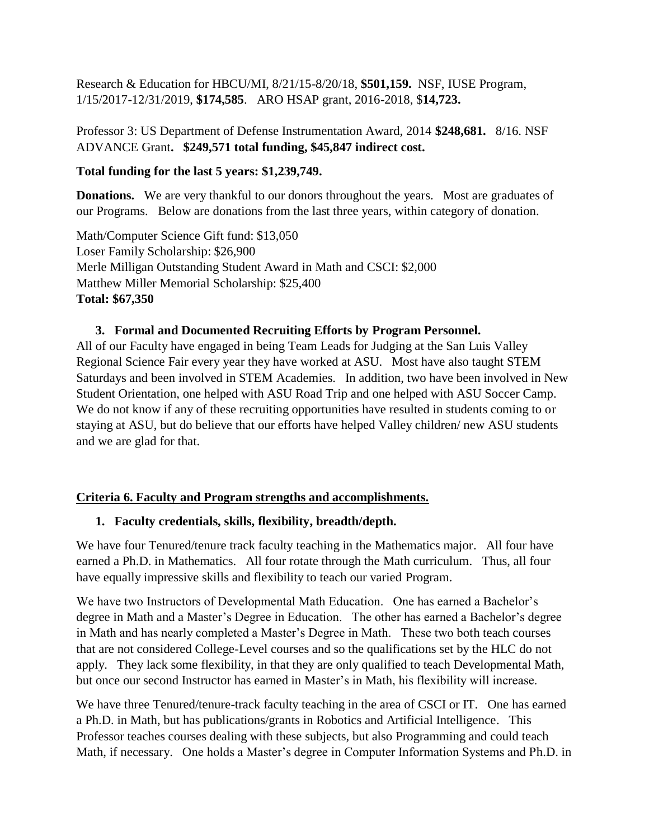Research & Education for HBCU/MI, 8/21/15-8/20/18, **\$501,159.** NSF, IUSE Program, 1/15/2017-12/31/2019, **\$174,585**. ARO HSAP grant, 2016-2018, \$**14,723.**

## Professor 3: US Department of Defense Instrumentation Award, 2014 **\$248,681.** 8/16. NSF ADVANCE Grant**. \$249,571 total funding, \$45,847 indirect cost.**

## **Total funding for the last 5 years: \$1,239,749.**

**Donations.** We are very thankful to our donors throughout the years. Most are graduates of our Programs. Below are donations from the last three years, within category of donation.

Math/Computer Science Gift fund: \$13,050 Loser Family Scholarship: \$26,900 Merle Milligan Outstanding Student Award in Math and CSCI: \$2,000 Matthew Miller Memorial Scholarship: \$25,400 **Total: \$67,350**

### **3. Formal and Documented Recruiting Efforts by Program Personnel.**

All of our Faculty have engaged in being Team Leads for Judging at the San Luis Valley Regional Science Fair every year they have worked at ASU. Most have also taught STEM Saturdays and been involved in STEM Academies. In addition, two have been involved in New Student Orientation, one helped with ASU Road Trip and one helped with ASU Soccer Camp. We do not know if any of these recruiting opportunities have resulted in students coming to or staying at ASU, but do believe that our efforts have helped Valley children/ new ASU students and we are glad for that.

### **Criteria 6. Faculty and Program strengths and accomplishments.**

# **1. Faculty credentials, skills, flexibility, breadth/depth.**

We have four Tenured/tenure track faculty teaching in the Mathematics major. All four have earned a Ph.D. in Mathematics. All four rotate through the Math curriculum. Thus, all four have equally impressive skills and flexibility to teach our varied Program.

We have two Instructors of Developmental Math Education. One has earned a Bachelor's degree in Math and a Master's Degree in Education. The other has earned a Bachelor's degree in Math and has nearly completed a Master's Degree in Math. These two both teach courses that are not considered College-Level courses and so the qualifications set by the HLC do not apply. They lack some flexibility, in that they are only qualified to teach Developmental Math, but once our second Instructor has earned in Master's in Math, his flexibility will increase.

We have three Tenured/tenure-track faculty teaching in the area of CSCI or IT. One has earned a Ph.D. in Math, but has publications/grants in Robotics and Artificial Intelligence. This Professor teaches courses dealing with these subjects, but also Programming and could teach Math, if necessary. One holds a Master's degree in Computer Information Systems and Ph.D. in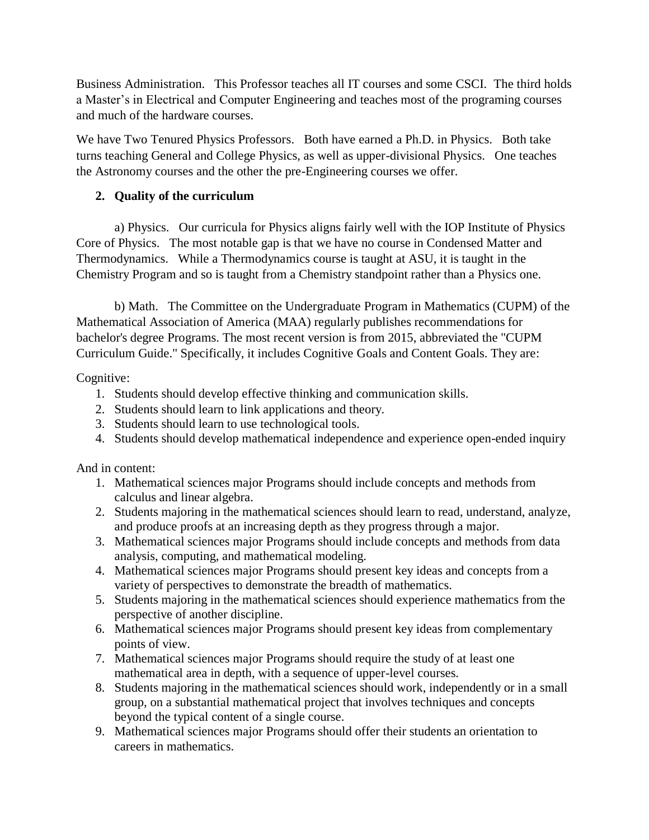Business Administration. This Professor teaches all IT courses and some CSCI. The third holds a Master's in Electrical and Computer Engineering and teaches most of the programing courses and much of the hardware courses.

We have Two Tenured Physics Professors. Both have earned a Ph.D. in Physics. Both take turns teaching General and College Physics, as well as upper-divisional Physics. One teaches the Astronomy courses and the other the pre-Engineering courses we offer.

## **2. Quality of the curriculum**

a) Physics. Our curricula for Physics aligns fairly well with the IOP Institute of Physics Core of Physics. The most notable gap is that we have no course in Condensed Matter and Thermodynamics. While a Thermodynamics course is taught at ASU, it is taught in the Chemistry Program and so is taught from a Chemistry standpoint rather than a Physics one.

b) Math. The Committee on the Undergraduate Program in Mathematics (CUPM) of the Mathematical Association of America (MAA) regularly publishes recommendations for bachelor's degree Programs. The most recent version is from 2015, abbreviated the "CUPM Curriculum Guide." Specifically, it includes Cognitive Goals and Content Goals. They are:

## Cognitive:

- 1. Students should develop effective thinking and communication skills.
- 2. Students should learn to link applications and theory.
- 3. Students should learn to use technological tools.
- 4. Students should develop mathematical independence and experience open-ended inquiry

And in content:

- 1. Mathematical sciences major Programs should include concepts and methods from calculus and linear algebra.
- 2. Students majoring in the mathematical sciences should learn to read, understand, analyze, and produce proofs at an increasing depth as they progress through a major.
- 3. Mathematical sciences major Programs should include concepts and methods from data analysis, computing, and mathematical modeling.
- 4. Mathematical sciences major Programs should present key ideas and concepts from a variety of perspectives to demonstrate the breadth of mathematics.
- 5. Students majoring in the mathematical sciences should experience mathematics from the perspective of another discipline.
- 6. Mathematical sciences major Programs should present key ideas from complementary points of view.
- 7. Mathematical sciences major Programs should require the study of at least one mathematical area in depth, with a sequence of upper-level courses.
- 8. Students majoring in the mathematical sciences should work, independently or in a small group, on a substantial mathematical project that involves techniques and concepts beyond the typical content of a single course.
- 9. Mathematical sciences major Programs should offer their students an orientation to careers in mathematics.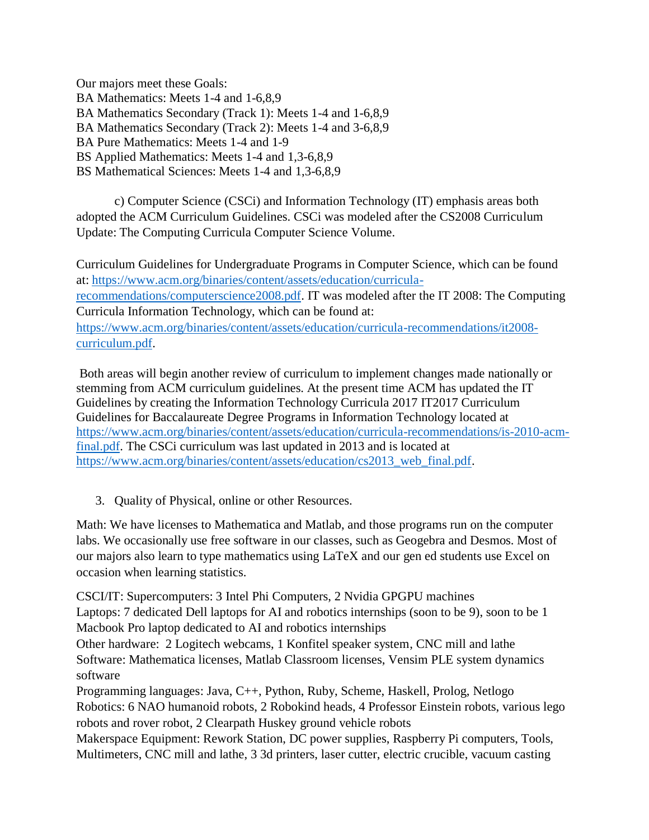Our majors meet these Goals: BA Mathematics: Meets 1-4 and 1-6,8,9 BA Mathematics Secondary (Track 1): Meets 1-4 and 1-6,8,9 BA Mathematics Secondary (Track 2): Meets 1-4 and 3-6,8,9 BA Pure Mathematics: Meets 1-4 and 1-9 BS Applied Mathematics: Meets 1-4 and 1,3-6,8,9 BS Mathematical Sciences: Meets 1-4 and 1,3-6,8,9

c) Computer Science (CSCi) and Information Technology (IT) emphasis areas both adopted the ACM Curriculum Guidelines. CSCi was modeled after the CS2008 Curriculum Update: The Computing Curricula Computer Science Volume.

Curriculum Guidelines for Undergraduate Programs in Computer Science, which can be found at: [https://www.acm.org/binaries/content/assets/education/curricula](https://www.acm.org/binaries/content/assets/education/curricula-recommendations/computerscience2008.pdf)[recommendations/computerscience2008.pdf.](https://www.acm.org/binaries/content/assets/education/curricula-recommendations/computerscience2008.pdf) IT was modeled after the IT 2008: The Computing Curricula Information Technology, which can be found at: [https://www.acm.org/binaries/content/assets/education/curricula-recommendations/it2008](https://www.acm.org/binaries/content/assets/education/curricula-recommendations/it2008-curriculum.pdf) [curriculum.pdf.](https://www.acm.org/binaries/content/assets/education/curricula-recommendations/it2008-curriculum.pdf)

Both areas will begin another review of curriculum to implement changes made nationally or stemming from ACM curriculum guidelines. At the present time ACM has updated the IT Guidelines by creating the Information Technology Curricula 2017 IT2017 Curriculum Guidelines for Baccalaureate Degree Programs in Information Technology located at [https://www.acm.org/binaries/content/assets/education/curricula-recommendations/is-2010-acm](https://www.acm.org/binaries/content/assets/education/curricula-recommendations/is-2010-acm-final.pdf)[final.pdf.](https://www.acm.org/binaries/content/assets/education/curricula-recommendations/is-2010-acm-final.pdf) The CSCi curriculum was last updated in 2013 and is located at [https://www.acm.org/binaries/content/assets/education/cs2013\\_web\\_final.pdf.](https://www.acm.org/binaries/content/assets/education/cs2013_web_final.pdf)

3. Quality of Physical, online or other Resources.

Math: We have licenses to Mathematica and Matlab, and those programs run on the computer labs. We occasionally use free software in our classes, such as Geogebra and Desmos. Most of our majors also learn to type mathematics using LaTeX and our gen ed students use Excel on occasion when learning statistics.

CSCI/IT: Supercomputers: 3 Intel Phi Computers, 2 Nvidia GPGPU machines Laptops: 7 dedicated Dell laptops for AI and robotics internships (soon to be 9), soon to be 1 Macbook Pro laptop dedicated to AI and robotics internships

Other hardware: 2 Logitech webcams, 1 Konfitel speaker system, CNC mill and lathe Software: Mathematica licenses, Matlab Classroom licenses, Vensim PLE system dynamics software

Programming languages: Java, C++, Python, Ruby, Scheme, Haskell, Prolog, Netlogo Robotics: 6 NAO humanoid robots, 2 Robokind heads, 4 Professor Einstein robots, various lego robots and rover robot, 2 Clearpath Huskey ground vehicle robots

Makerspace Equipment: Rework Station, DC power supplies, Raspberry Pi computers, Tools, Multimeters, CNC mill and lathe, 3 3d printers, laser cutter, electric crucible, vacuum casting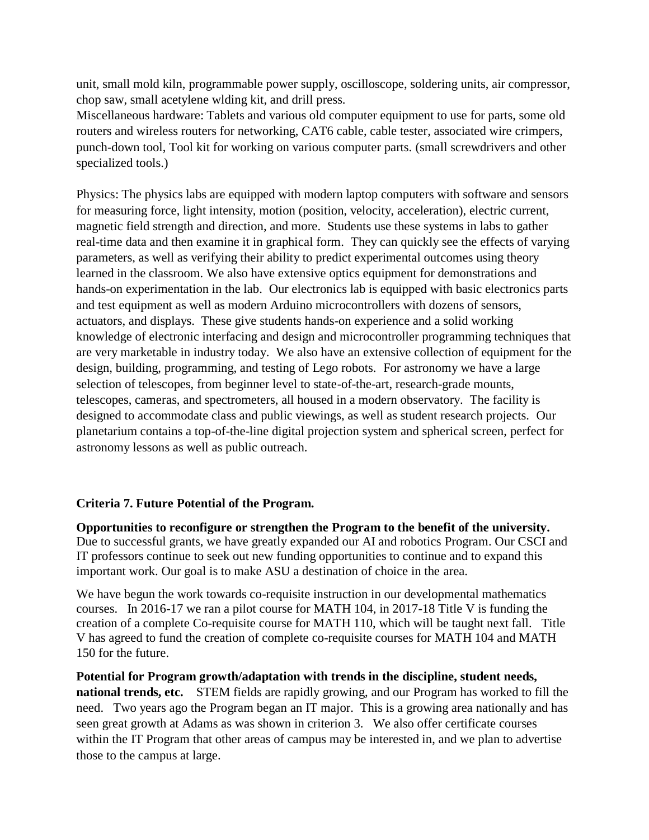unit, small mold kiln, programmable power supply, oscilloscope, soldering units, air compressor, chop saw, small acetylene wlding kit, and drill press.

Miscellaneous hardware: Tablets and various old computer equipment to use for parts, some old routers and wireless routers for networking, CAT6 cable, cable tester, associated wire crimpers, punch-down tool, Tool kit for working on various computer parts. (small screwdrivers and other specialized tools.)

Physics: The physics labs are equipped with modern laptop computers with software and sensors for measuring force, light intensity, motion (position, velocity, acceleration), electric current, magnetic field strength and direction, and more. Students use these systems in labs to gather real-time data and then examine it in graphical form. They can quickly see the effects of varying parameters, as well as verifying their ability to predict experimental outcomes using theory learned in the classroom. We also have extensive optics equipment for demonstrations and hands-on experimentation in the lab. Our electronics lab is equipped with basic electronics parts and test equipment as well as modern Arduino microcontrollers with dozens of sensors, actuators, and displays. These give students hands-on experience and a solid working knowledge of electronic interfacing and design and microcontroller programming techniques that are very marketable in industry today. We also have an extensive collection of equipment for the design, building, programming, and testing of Lego robots. For astronomy we have a large selection of telescopes, from beginner level to state-of-the-art, research-grade mounts, telescopes, cameras, and spectrometers, all housed in a modern observatory. The facility is designed to accommodate class and public viewings, as well as student research projects. Our planetarium contains a top-of-the-line digital projection system and spherical screen, perfect for astronomy lessons as well as public outreach.

### **Criteria 7. Future Potential of the Program.**

**Opportunities to reconfigure or strengthen the Program to the benefit of the university.**  Due to successful grants, we have greatly expanded our AI and robotics Program. Our CSCI and IT professors continue to seek out new funding opportunities to continue and to expand this important work. Our goal is to make ASU a destination of choice in the area.

We have begun the work towards co-requisite instruction in our developmental mathematics courses. In 2016-17 we ran a pilot course for MATH 104, in 2017-18 Title V is funding the creation of a complete Co-requisite course for MATH 110, which will be taught next fall. Title V has agreed to fund the creation of complete co-requisite courses for MATH 104 and MATH 150 for the future.

**Potential for Program growth/adaptation with trends in the discipline, student needs, national trends, etc.** STEM fields are rapidly growing, and our Program has worked to fill the need. Two years ago the Program began an IT major. This is a growing area nationally and has seen great growth at Adams as was shown in criterion 3. We also offer certificate courses within the IT Program that other areas of campus may be interested in, and we plan to advertise those to the campus at large.